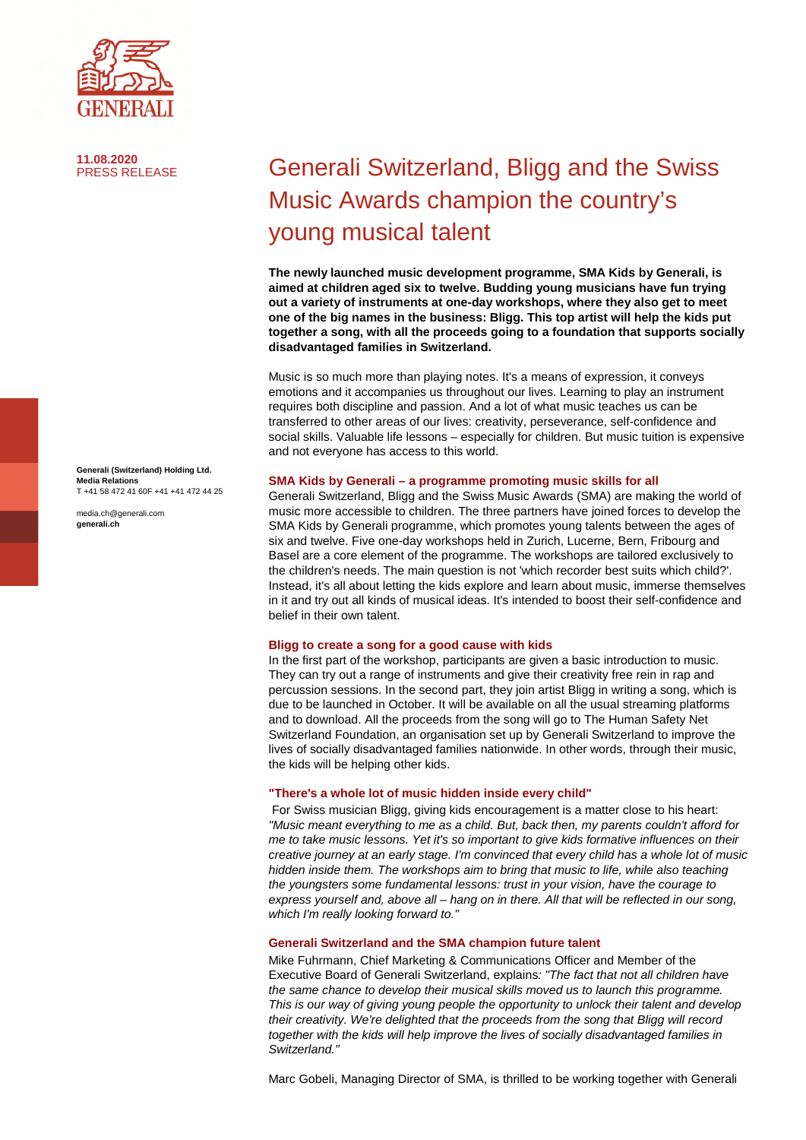

**11.08.2020**

Generali Switzerland, Bligg and the Swiss Music Awards champion the country's young musical talent

**The newly launched music development programme, SMA Kids by Generali, is aimed at children aged six to twelve. Budding young musicians have fun trying out a variety of instruments at one-day workshops, where they also get to meet one of the big names in the business: Bligg. This top artist will help the kids put together a song, with all the proceeds going to a foundation that supports socially disadvantaged families in Switzerland.** 

Music is so much more than playing notes. It's a means of expression, it conveys emotions and it accompanies us throughout our lives. Learning to play an instrument requires both discipline and passion. And a lot of what music teaches us can be transferred to other areas of our lives: creativity, perseverance, self-confidence and social skills. Valuable life lessons – especially for children. But music tuition is expensive and not everyone has access to this world.

### **SMA Kids by Generali – a programme promoting music skills for all**

Generali Switzerland, Bligg and the Swiss Music Awards (SMA) are making the world of music more accessible to children. The three partners have joined forces to develop the SMA Kids by Generali programme, which promotes young talents between the ages of six and twelve. Five one-day workshops held in Zurich, Lucerne, Bern, Fribourg and Basel are a core element of the programme. The workshops are tailored exclusively to the children's needs. The main question is not 'which recorder best suits which child?'. Instead, it's all about letting the kids explore and learn about music, immerse themselves in it and try out all kinds of musical ideas. It's intended to boost their self-confidence and belief in their own talent.

## **Bligg to create a song for a good cause with kids**

In the first part of the workshop, participants are given a basic introduction to music. They can try out a range of instruments and give their creativity free rein in rap and percussion sessions. In the second part, they join artist Bligg in writing a song, which is due to be launched in October. It will be available on all the usual streaming platforms and to download. All the proceeds from the song will go to The Human Safety Net Switzerland Foundation, an organisation set up by Generali Switzerland to improve the lives of socially disadvantaged families nationwide. In other words, through their music, the kids will be helping other kids.

## **"There's a whole lot of music hidden inside every child"**

 For Swiss musician Bligg, giving kids encouragement is a matter close to his heart: *"Music meant everything to me as a child. But, back then, my parents couldn't afford for me to take music lessons. Yet it's so important to give kids formative influences on their creative journey at an early stage. I'm convinced that every child has a whole lot of music hidden inside them. The workshops aim to bring that music to life, while also teaching the youngsters some fundamental lessons: trust in your vision, have the courage to express yourself and, above all – hang on in there. All that will be reflected in our song, which I'm really looking forward to."* 

# **Generali Switzerland and the SMA champion future talent**

Mike Fuhrmann, Chief Marketing & Communications Officer and Member of the Executive Board of Generali Switzerland, explains*: "The fact that not all children have the same chance to develop their musical skills moved us to launch this programme. This is our way of giving young people the opportunity to unlock their talent and develop their creativity. We're delighted that the proceeds from the song that Bligg will record together with the kids will help improve the lives of socially disadvantaged families in Switzerland."* 

Marc Gobeli, Managing Director of SMA, is thrilled to be working together with Generali

**Generali (Switzerland) Holding Ltd. Media Relations**  T +41 58 472 41 60F +41 +41 472 44 25

media.ch@generali.com **generali.ch**